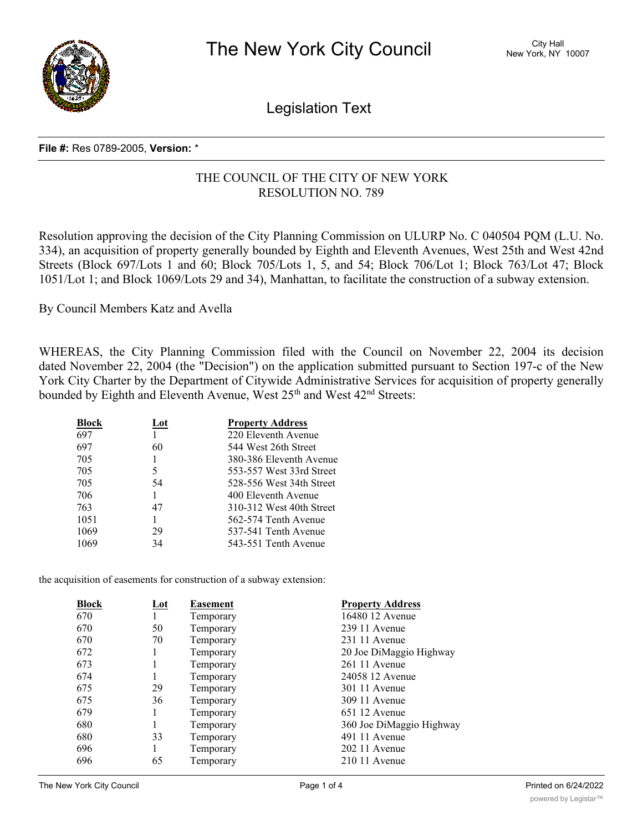

Legislation Text

## **File #:** Res 0789-2005, **Version:** \*

# THE COUNCIL OF THE CITY OF NEW YORK RESOLUTION NO. 789

Resolution approving the decision of the City Planning Commission on ULURP No. C 040504 PQM (L.U. No. 334), an acquisition of property generally bounded by Eighth and Eleventh Avenues, West 25th and West 42nd Streets (Block 697/Lots 1 and 60; Block 705/Lots 1, 5, and 54; Block 706/Lot 1; Block 763/Lot 47; Block 1051/Lot 1; and Block 1069/Lots 29 and 34), Manhattan, to facilitate the construction of a subway extension.

By Council Members Katz and Avella

WHEREAS, the City Planning Commission filed with the Council on November 22, 2004 its decision dated November 22, 2004 (the "Decision") on the application submitted pursuant to Section 197-c of the New York City Charter by the Department of Citywide Administrative Services for acquisition of property generally bounded by Eighth and Eleventh Avenue, West 25<sup>th</sup> and West 42<sup>nd</sup> Streets:

| <b>Block</b> | Lot | <b>Property Address</b>  |
|--------------|-----|--------------------------|
| 697          |     | 220 Eleventh Avenue      |
| 697          | 60  | 544 West 26th Street     |
| 705          |     | 380-386 Eleventh Avenue  |
| 705          | 5   | 553-557 West 33rd Street |
| 705          | 54  | 528-556 West 34th Street |
| 706          | 1   | 400 Eleventh Avenue      |
| 763          | 47  | 310-312 West 40th Street |
| 1051         | 1   | 562-574 Tenth Avenue     |
| 1069         | 29  | 537-541 Tenth Avenue     |
| 1069         | 34  | 543-551 Tenth Avenue     |

the acquisition of easements for construction of a subway extension:

| Block | Lot | <b>Easement</b> | <b>Property Address</b>  |
|-------|-----|-----------------|--------------------------|
| 670   | 1   | Temporary       | 16480 12 Avenue          |
| 670   | 50  | Temporary       | 239 11 Avenue            |
| 670   | 70  | Temporary       | 231 11 Avenue            |
| 672   |     | Temporary       | 20 Joe DiMaggio Highway  |
| 673   |     | Temporary       | 261 11 Avenue            |
| 674   |     | Temporary       | 24058 12 Avenue          |
| 675   | 29  | Temporary       | 301 11 Avenue            |
| 675   | 36  | Temporary       | 309 11 Avenue            |
| 679   |     | Temporary       | 651 12 Avenue            |
| 680   |     | Temporary       | 360 Joe DiMaggio Highway |
| 680   | 33  | Temporary       | 491 11 Avenue            |
| 696   |     | Temporary       | 202 11 Avenue            |
| 696   | 65  | Temporary       | $21011$ Avenue           |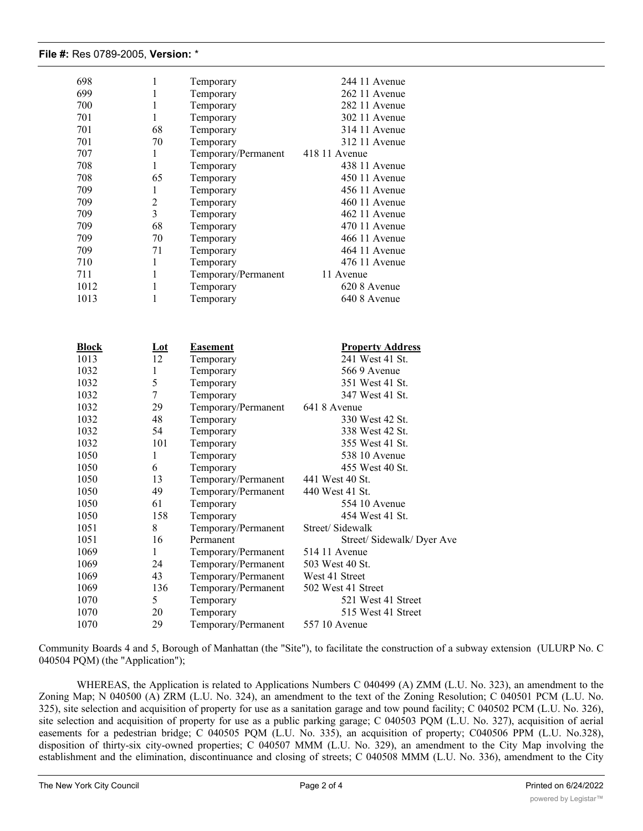### **File #:** Res 0789-2005, **Version:** \*

| 698          | 1                  | Temporary                                  | 244 11 Avenue                       |
|--------------|--------------------|--------------------------------------------|-------------------------------------|
| 699          | 1                  | Temporary                                  | 262 11 Avenue                       |
| 700          | $\mathbf{1}$       | Temporary                                  | 282 11 Avenue                       |
| 701          | $\mathbf{1}$       | Temporary                                  | 302 11 Avenue                       |
| 701          | 68                 | Temporary                                  | 314 11 Avenue                       |
| 701          | 70                 | Temporary                                  | 312 11 Avenue                       |
| 707          | $\mathbf{1}$       | Temporary/Permanent                        | 418 11 Avenue                       |
| 708          | $\mathbf{1}$       | Temporary                                  | 438 11 Avenue                       |
| 708          | 65                 | Temporary                                  | 450 11 Avenue                       |
| 709          | $\mathbf{1}$       | Temporary                                  | 456 11 Avenue                       |
| 709          | $\overline{2}$     | Temporary                                  | 460 11 Avenue                       |
| 709          | 3                  | Temporary                                  | 462 11 Avenue                       |
| 709          | 68                 | Temporary                                  | 470 11 Avenue                       |
| 709          | 70                 | Temporary                                  | 466 11 Avenue                       |
| 709          | 71                 | Temporary                                  | 464 11 Avenue                       |
| 710          | 1                  | Temporary                                  | 476 11 Avenue                       |
| 711          | 1                  | Temporary/Permanent                        | 11 Avenue                           |
| 1012         | 1                  | Temporary                                  | 620 8 Avenue                        |
| 1013         | 1                  | Temporary                                  | 640 8 Avenue                        |
|              |                    |                                            |                                     |
| <b>Block</b> | $Let$              | <b>Easement</b>                            | <b>Property Address</b>             |
| 1013         | 12                 | Temporary                                  | 241 West 41 St.                     |
| 1032         | $\mathbf{1}$       | Temporary                                  | 566 9 Avenue                        |
| 1032         | 5                  | Temporary                                  | 351 West 41 St.                     |
| 1032         | 7                  | Temporary                                  | 347 West 41 St.                     |
| 1032         | 29                 | Temporary/Permanent                        | 641 8 Avenue                        |
| 1032         | 48                 | Temporary                                  | 330 West 42 St.                     |
| 1032         | 54                 | Temporary                                  | 338 West 42 St.                     |
| 1032         | 101                | Temporary                                  | 355 West 41 St.                     |
| 1050         | $\mathbf{1}$<br>6  | Temporary                                  | 538 10 Avenue<br>455 West 40 St.    |
| 1050         |                    | Temporary                                  | 441 West 40 St.                     |
| 1050<br>1050 | 13<br>49           | Temporary/Permanent<br>Temporary/Permanent | 440 West 41 St.                     |
| 1050         | 61                 | Temporary                                  | 554 10 Avenue                       |
| 1050         | 158                | Temporary                                  | 454 West 41 St.                     |
| 1051         | 8                  | Temporary/Permanent                        | Street/ Sidewalk                    |
| 1051         |                    | Permanent                                  | Street/ Sidewalk/ Dyer Ave          |
|              | 16<br>$\mathbf{1}$ |                                            |                                     |
| 1069<br>1069 | 24                 | Temporary/Permanent<br>Temporary/Permanent | 514 11 Avenue<br>503 West 40 St.    |
| 1069         | 43                 |                                            | West 41 Street                      |
| 1069         | 136                | Temporary/Permanent<br>Temporary/Permanent | 502 West 41 Street                  |
| 1070         |                    |                                            |                                     |
|              |                    |                                            |                                     |
|              | 5                  | Temporary                                  | 521 West 41 Street                  |
| 1070<br>1070 | 20<br>29           | Temporary<br>Temporary/Permanent           | 515 West 41 Street<br>557 10 Avenue |

Community Boards 4 and 5, Borough of Manhattan (the "Site"), to facilitate the construction of a subway extension (ULURP No. C 040504 PQM) (the "Application");

WHEREAS, the Application is related to Applications Numbers C 040499 (A) ZMM (L.U. No. 323), an amendment to the Zoning Map; N 040500 (A) ZRM (L.U. No. 324), an amendment to the text of the Zoning Resolution; C 040501 PCM (L.U. No. 325), site selection and acquisition of property for use as a sanitation garage and tow pound facility; C 040502 PCM (L.U. No. 326), site selection and acquisition of property for use as a public parking garage; C 040503 PQM (L.U. No. 327), acquisition of aerial easements for a pedestrian bridge; C 040505 PQM (L.U. No. 335), an acquisition of property; C040506 PPM (L.U. No.328), disposition of thirty-six city-owned properties; C 040507 MMM (L.U. No. 329), an amendment to the City Map involving the establishment and the elimination, discontinuance and closing of streets; C 040508 MMM (L.U. No. 336), amendment to the City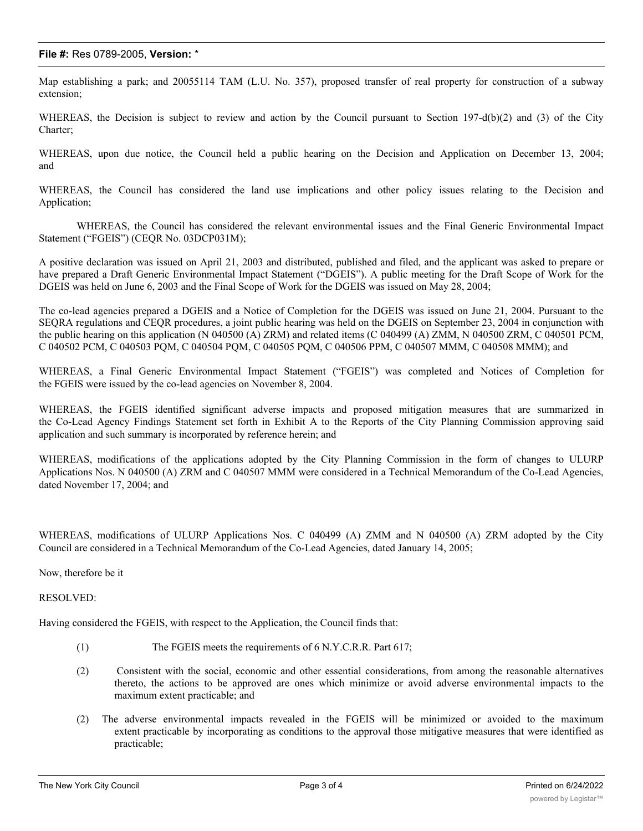### **File #:** Res 0789-2005, **Version:** \*

Map establishing a park; and 20055114 TAM (L.U. No. 357), proposed transfer of real property for construction of a subway extension;

WHEREAS, the Decision is subject to review and action by the Council pursuant to Section 197-d(b)(2) and (3) of the City Charter;

WHEREAS, upon due notice, the Council held a public hearing on the Decision and Application on December 13, 2004; and

WHEREAS, the Council has considered the land use implications and other policy issues relating to the Decision and Application;

WHEREAS, the Council has considered the relevant environmental issues and the Final Generic Environmental Impact Statement ("FGEIS") (CEQR No. 03DCP031M);

A positive declaration was issued on April 21, 2003 and distributed, published and filed, and the applicant was asked to prepare or have prepared a Draft Generic Environmental Impact Statement ("DGEIS"). A public meeting for the Draft Scope of Work for the DGEIS was held on June 6, 2003 and the Final Scope of Work for the DGEIS was issued on May 28, 2004;

The co-lead agencies prepared a DGEIS and a Notice of Completion for the DGEIS was issued on June 21, 2004. Pursuant to the SEQRA regulations and CEQR procedures, a joint public hearing was held on the DGEIS on September 23, 2004 in conjunction with the public hearing on this application (N 040500 (A) ZRM) and related items (C 040499 (A) ZMM, N 040500 ZRM, C 040501 PCM, C 040502 PCM, C 040503 PQM, C 040504 PQM, C 040505 PQM, C 040506 PPM, C 040507 MMM, C 040508 MMM); and

WHEREAS, a Final Generic Environmental Impact Statement ("FGEIS") was completed and Notices of Completion for the FGEIS were issued by the co-lead agencies on November 8, 2004.

WHEREAS, the FGEIS identified significant adverse impacts and proposed mitigation measures that are summarized in the Co-Lead Agency Findings Statement set forth in Exhibit A to the Reports of the City Planning Commission approving said application and such summary is incorporated by reference herein; and

WHEREAS, modifications of the applications adopted by the City Planning Commission in the form of changes to ULURP Applications Nos. N 040500 (A) ZRM and C 040507 MMM were considered in a Technical Memorandum of the Co-Lead Agencies, dated November 17, 2004; and

WHEREAS, modifications of ULURP Applications Nos. C 040499 (A) ZMM and N 040500 (A) ZRM adopted by the City Council are considered in a Technical Memorandum of the Co-Lead Agencies, dated January 14, 2005;

Now, therefore be it

#### RESOLVED:

Having considered the FGEIS, with respect to the Application, the Council finds that:

- (1) The FGEIS meets the requirements of 6 N.Y.C.R.R. Part 617;
- (2) Consistent with the social, economic and other essential considerations, from among the reasonable alternatives thereto, the actions to be approved are ones which minimize or avoid adverse environmental impacts to the maximum extent practicable; and
- (2) The adverse environmental impacts revealed in the FGEIS will be minimized or avoided to the maximum extent practicable by incorporating as conditions to the approval those mitigative measures that were identified as practicable;